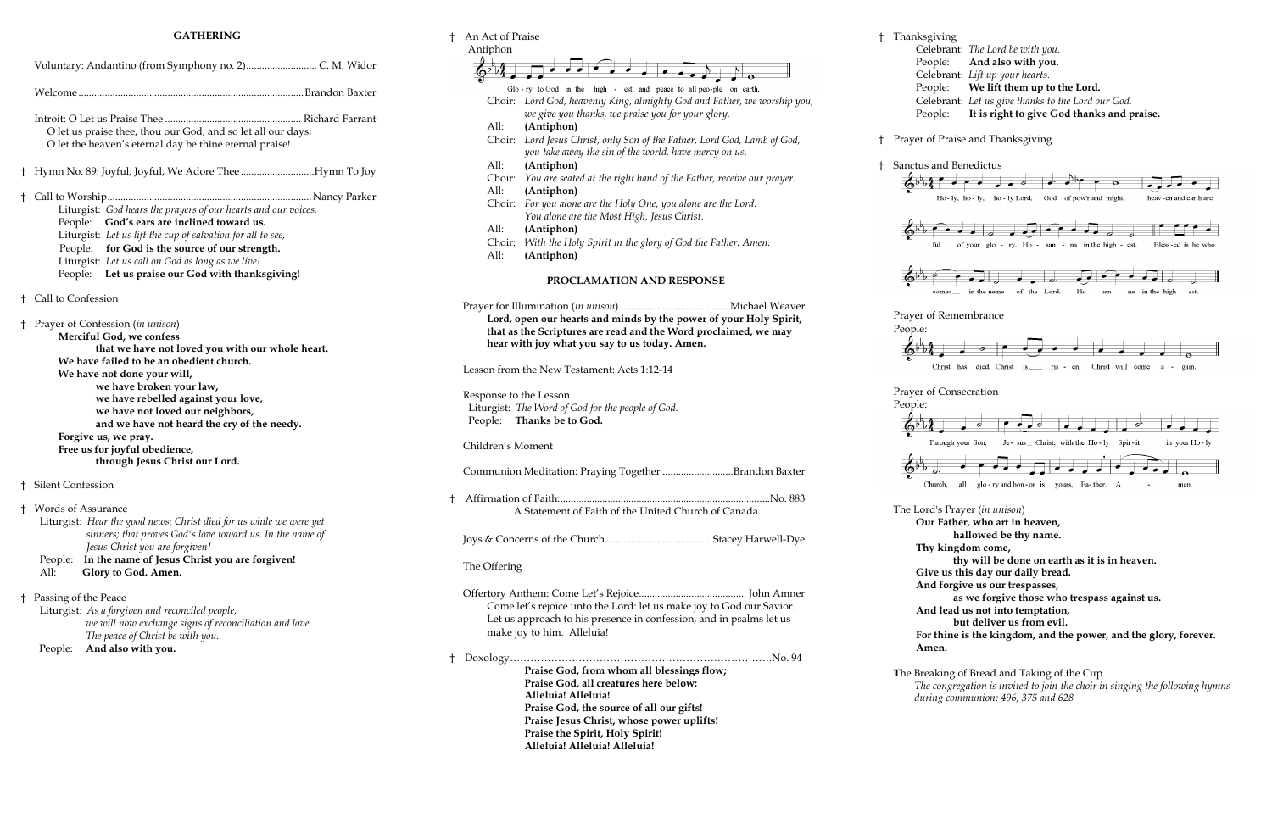#### **GATHERING**

| t                                                   | An Act of Praise                                  |                                                                          | t         | Thanksgi   |
|-----------------------------------------------------|---------------------------------------------------|--------------------------------------------------------------------------|-----------|------------|
|                                                     | Antiphon                                          |                                                                          |           | Celel      |
|                                                     |                                                   |                                                                          |           | Peop       |
|                                                     |                                                   |                                                                          |           | Celel      |
|                                                     |                                                   | Glo-ry to God in the high - est, and peace to all peo-ple on earth.      |           | Peop       |
|                                                     |                                                   | Choir: Lord God, heavenly King, almighty God and Father, we worship you, |           | Celel      |
|                                                     |                                                   |                                                                          |           |            |
|                                                     |                                                   | we give you thanks, we praise you for your glory.                        |           | Peop       |
|                                                     | All:                                              | (Antiphon)                                                               |           |            |
|                                                     |                                                   | Choir: Lord Jesus Christ, only Son of the Father, Lord God, Lamb of God, | Ť.        | Prayer of  |
|                                                     |                                                   | you take away the sin of the world, have mercy on us.                    |           |            |
|                                                     | All:                                              | (Antiphon)                                                               | Ť.        | Sanctus a  |
|                                                     | Choir:                                            | You are seated at the right hand of the Father, receive our prayer.      |           |            |
|                                                     | All:                                              | (Antiphon)                                                               |           |            |
|                                                     |                                                   | Choir: For you alone are the Holy One, you alone are the Lord.           |           |            |
|                                                     |                                                   |                                                                          |           |            |
|                                                     |                                                   | You alone are the Most High, Jesus Christ.                               |           |            |
|                                                     | All:                                              | (Antiphon)                                                               |           |            |
|                                                     | Choir:                                            | With the Holy Spirit in the glory of God the Father. Amen.               |           |            |
|                                                     | All:                                              | (Antiphon)                                                               |           |            |
|                                                     |                                                   |                                                                          |           |            |
|                                                     |                                                   | PROCLAMATION AND RESPONSE                                                |           |            |
|                                                     |                                                   |                                                                          |           |            |
|                                                     |                                                   |                                                                          |           |            |
|                                                     |                                                   |                                                                          |           | Prayer of  |
|                                                     |                                                   | Lord, open our hearts and minds by the power of your Holy Spirit,        |           | People:    |
|                                                     |                                                   | that as the Scriptures are read and the Word proclaimed, we may          |           |            |
|                                                     |                                                   | hear with joy what you say to us today. Amen.                            |           |            |
|                                                     |                                                   |                                                                          |           |            |
|                                                     | Lesson from the New Testament: Acts 1:12-14       |                                                                          |           | С          |
|                                                     |                                                   |                                                                          |           |            |
|                                                     | Response to the Lesson                            |                                                                          |           | Prayer of  |
|                                                     | Liturgist: The Word of God for the people of God. |                                                                          |           | People:    |
| People:<br>Thanks be to God.                        |                                                   |                                                                          |           |            |
|                                                     |                                                   |                                                                          |           |            |
|                                                     |                                                   |                                                                          |           | Th         |
|                                                     | Children's Moment                                 |                                                                          |           |            |
|                                                     |                                                   |                                                                          |           |            |
|                                                     |                                                   | Communion Meditation: Praying Together Brandon Baxter                    |           |            |
|                                                     |                                                   |                                                                          |           | Chu        |
| t                                                   |                                                   |                                                                          |           |            |
| A Statement of Faith of the United Church of Canada |                                                   |                                                                          | The Lord' |            |
|                                                     |                                                   |                                                                          |           | Our        |
|                                                     |                                                   |                                                                          |           |            |
|                                                     |                                                   |                                                                          |           |            |
|                                                     |                                                   |                                                                          |           | <b>Thy</b> |
|                                                     | The Offering                                      |                                                                          |           |            |
|                                                     |                                                   |                                                                          |           | Give       |
|                                                     |                                                   |                                                                          |           | And        |
|                                                     |                                                   |                                                                          |           |            |
|                                                     |                                                   | Come let's rejoice unto the Lord: let us make joy to God our Savior.     |           | And        |
|                                                     |                                                   | Let us approach to his presence in confession, and in psalms let us      |           |            |
|                                                     |                                                   | make joy to him. Alleluia!                                               |           | For t      |
|                                                     |                                                   |                                                                          |           | Ame        |
| Ť.                                                  |                                                   |                                                                          |           |            |
|                                                     |                                                   | Praise God, from whom all blessings flow;                                |           |            |
|                                                     |                                                   |                                                                          |           | The Break  |
|                                                     |                                                   | Praise God, all creatures here below:                                    |           | The c      |
|                                                     |                                                   | Alleluia! Alleluia!                                                      |           | durin      |
|                                                     |                                                   | Praise God, the source of all our gifts!                                 |           |            |
|                                                     |                                                   | Praise Jesus Christ, whose power uplifts!                                |           |            |
|                                                     |                                                   | Praise the Spirit, Holy Spirit!                                          |           |            |
|                                                     |                                                   | Alleluia! Alleluia! Alleluia!                                            |           |            |

|    | O let us praise thee, thou our God, and so let all our days;<br>O let the heaven's eternal day be thine eternal praise!                                                                                                                                                                                                                                                                                                                      |  |  |
|----|----------------------------------------------------------------------------------------------------------------------------------------------------------------------------------------------------------------------------------------------------------------------------------------------------------------------------------------------------------------------------------------------------------------------------------------------|--|--|
| Ť. | Hymn No. 89: Joyful, Joyful, We Adore TheeHymn To Joy                                                                                                                                                                                                                                                                                                                                                                                        |  |  |
| Ť  | Liturgist: God hears the prayers of our hearts and our voices.<br>God's ears are inclined toward us.<br>People:<br>Liturgist: Let us lift the cup of salvation for all to see,<br>People: for God is the source of our strength.<br>Liturgist: Let us call on God as long as we live!<br>People: Let us praise our God with thanksgiving!                                                                                                    |  |  |
|    | <sup>†</sup> Call to Confession                                                                                                                                                                                                                                                                                                                                                                                                              |  |  |
| ŧ  | Prayer of Confession (in unison)<br>Merciful God, we confess<br>that we have not loved you with our whole heart.<br>We have failed to be an obedient church.<br>We have not done your will,<br>we have broken your law,<br>we have rebelled against your love,<br>we have not loved our neighbors,<br>and we have not heard the cry of the needy.<br>Forgive us, we pray.<br>Free us for joyful obedience,<br>through Jesus Christ our Lord. |  |  |
|    | † Silent Confession                                                                                                                                                                                                                                                                                                                                                                                                                          |  |  |
|    | <sup>†</sup> Words of Assurance<br>Liturgist: Hear the good news: Christ died for us while we were yet<br>sinners; that proves God's love toward us. In the name of<br>Jesus Christ you are forgiven!<br>In the name of Jesus Christ you are forgiven!<br>People:<br>All:<br>Glory to God. Amen.                                                                                                                                             |  |  |
| Ť  | Passing of the Peace<br>Liturgist: As a forgiven and reconciled people,<br>we will now exchange signs of reconciliation and love.<br>The peace of Christ be with you.<br>And also with you.<br>People:                                                                                                                                                                                                                                       |  |  |

| ksgiving |                                                    |
|----------|----------------------------------------------------|
|          | Celebrant: The Lord be with you.                   |
|          | People: And also with you.                         |
|          | Celebrant: Lift up your hearts.                    |
|          | People: We lift them up to the Lord.               |
|          | Celebrant: Let us give thanks to the Lord our God. |
|          | People: It is right to give God thanks and praise. |

the Praise and Thanksgiving



**Give us this day our daily bread. And forgive us our trespasses,**

**as we forgive those who trespass against us.**

**And lead us not into temptation,** 

**but deliver us from evil.**

**For thine is the kingdom, and the power, and the glory, forever. Amen.**

reaking of Bread and Taking of the Cup

*The congregation is invited to join the choir in singing the following hymns during communion: 496, 375 and 628*